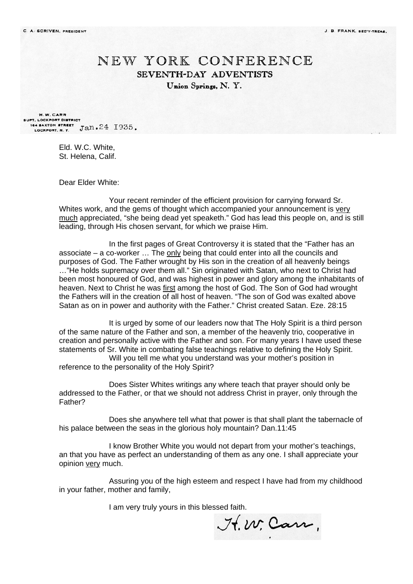## NEW YORK CONFERENCE SEVENTH-DAY ADVENTISTS Union Springs, N.Y.

H.W. CARR SUPT. LOCKPORT DISTRICT 164 BAXTON STREET Jan. 24 1935.

> Eld. W.C. White, St. Helena, Calif.

Dear Elder White:

Your recent reminder of the efficient provision for carrying forward Sr. Whites work, and the gems of thought which accompanied your announcement is very much appreciated, "she being dead yet speaketh." God has lead this people on, and is still leading, through His chosen servant, for which we praise Him.

In the first pages of Great Controversy it is stated that the "Father has an associate – a co-worker … The only being that could enter into all the councils and purposes of God. The Father wrought by His son in the creation of all heavenly beings ..."He holds supremacy over them all." Sin originated with Satan, who next to Christ had been most honoured of God, and was highest in power and glory among the inhabitants of heaven. Next to Christ he was first among the host of God. The Son of God had wrought the Fathers will in the creation of all host of heaven. "The son of God was exalted above Satan as on in power and authority with the Father." Christ created Satan. Eze. 28:15

It is urged by some of our leaders now that The Holy Spirit is a third person of the same nature of the Father and son, a member of the heavenly trio, cooperative in creation and personally active with the Father and son. For many years I have used these statements of Sr. White in combating false teachings relative to defining the Holy Spirit. Will you tell me what you understand was your mother's position in reference to the personality of the Holy Spirit?

Does Sister Whites writings any where teach that prayer should only be addressed to the Father, or that we should not address Christ in prayer, only through the Father?

Does she anywhere tell what that power is that shall plant the tabernacle of his palace between the seas in the glorious holy mountain? Dan.11:45

I know Brother White you would not depart from your mother's teachings, an that you have as perfect an understanding of them as any one. I shall appreciate your opinion very much.

Assuring you of the high esteem and respect I have had from my childhood in your father, mother and family,

I am very truly yours in this blessed faith.

It. W. Carr,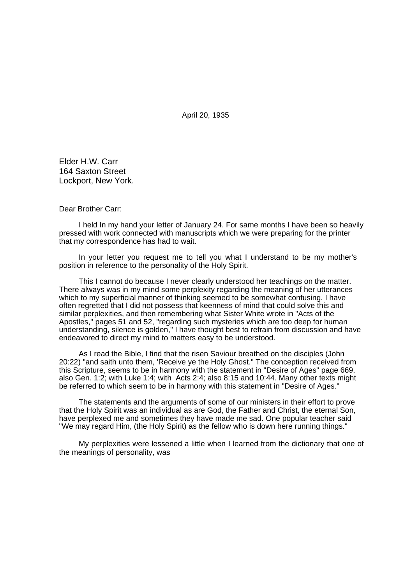April 20, 1935

Elder H.W. Carr 164 Saxton Street Lockport, New York.

Dear Brother Carr:

I held In my hand your letter of January 24. For same months I have been so heavily pressed with work connected with manuscripts which we were preparing for the printer that my correspondence has had to wait.

In your letter you request me to tell you what I understand to be my mother's position in reference to the personality of the Holy Spirit.

This I cannot do because I never clearly understood her teachings on the matter. There always was in my mind some perplexity regarding the meaning of her utterances which to my superficial manner of thinking seemed to be somewhat confusing. I have often regretted that I did not possess that keenness of mind that could solve this and similar perplexities, and then remembering what Sister White wrote in "Acts of the Apostles," pages 51 and 52, "regarding such mysteries which are too deep for human understanding, silence is golden," I have thought best to refrain from discussion and have endeavored to direct my mind to matters easy to be understood.

As I read the Bible, I find that the risen Saviour breathed on the disciples (John 20:22) "and saith unto them, 'Receive ye the Holy Ghost." The conception received from this Scripture, seems to be in harmony with the statement in "Desire of Ages" page 669, also Gen. 1:2; with Luke 1:4; with Acts 2:4; also 8:15 and 10:44. Many other texts might be referred to which seem to be in harmony with this statement in "Desire of Ages."

The statements and the arguments of some of our ministers in their effort to prove that the Holy Spirit was an individual as are God, the Father and Christ, the eternal Son, have perplexed me and sometimes they have made me sad. One popular teacher said "We may regard Him, (the Holy Spirit) as the fellow who is down here running things."

My perplexities were lessened a little when I learned from the dictionary that one of the meanings of personality, was